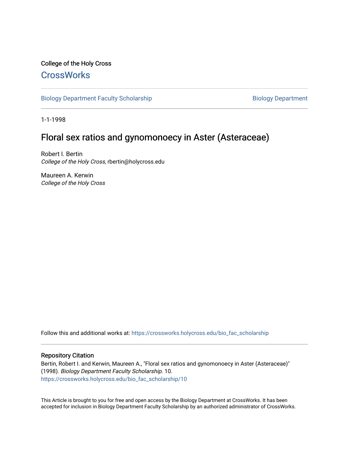## College of the Holy Cross **[CrossWorks](https://crossworks.holycross.edu/)**

[Biology Department Faculty Scholarship](https://crossworks.holycross.edu/bio_fac_scholarship) Biology Department

1-1-1998

# Floral sex ratios and gynomonoecy in Aster (Asteraceae)

Robert I. Bertin College of the Holy Cross, rbertin@holycross.edu

Maureen A. Kerwin College of the Holy Cross

Follow this and additional works at: [https://crossworks.holycross.edu/bio\\_fac\\_scholarship](https://crossworks.holycross.edu/bio_fac_scholarship?utm_source=crossworks.holycross.edu%2Fbio_fac_scholarship%2F10&utm_medium=PDF&utm_campaign=PDFCoverPages) 

### Repository Citation

Bertin, Robert I. and Kerwin, Maureen A., "Floral sex ratios and gynomonoecy in Aster (Asteraceae)" (1998). Biology Department Faculty Scholarship. 10. [https://crossworks.holycross.edu/bio\\_fac\\_scholarship/10](https://crossworks.holycross.edu/bio_fac_scholarship/10?utm_source=crossworks.holycross.edu%2Fbio_fac_scholarship%2F10&utm_medium=PDF&utm_campaign=PDFCoverPages)

This Article is brought to you for free and open access by the Biology Department at CrossWorks. It has been accepted for inclusion in Biology Department Faculty Scholarship by an authorized administrator of CrossWorks.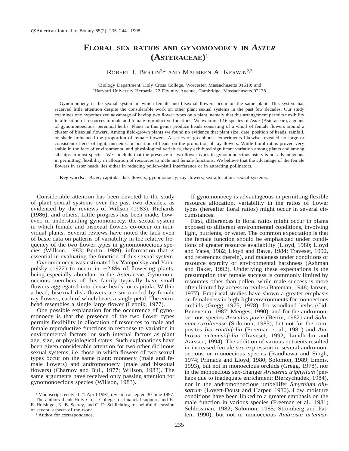## **FLORAL SEX RATIOS AND GYNOMONOECY IN** *ASTER* **(ASTERACEAE)**<sup>1</sup>

ROBERT I. BERTIN<sup>2,4</sup> AND MAUREEN A. KERWIN<sup>2,3</sup>

2 Biology Department, Holy Cross College, Worcester, Massachusetts 01610; and 3Harvard University Herbaria, 22 Divinity Avenue, Cambridge, Massachusetts 02138

Gynomonoecy is the sexual system in which female and bisexual flowers occur on the same plant. This system has received little attention despite the considerable work on other plant sexual systems in the past few decades. Our study examines one hypothesized advantage of having two flower types on a plant, namely that this arrangement permits flexibility in allocation of resources to male and female reproductive functions. We examined 16 species of *Aster* (Asteraceae), a genus of gynomonoecious, perennial herbs. Plants in this genus produce heads consisting of a whorl of female flowers around a cluster of bisexual flowers. Among field-grown plants we found no evidence that plant size, date, position of heads, rainfall, or shade influenced the proportion of female flowers. A series of greenhouse experiments likewise revealed no large or consistent effects of light, nutrients, or position of heads on the proportion of ray flowers. While floral ratios proved very stable in the face of environmental and physiological variables, they exhibited significant variation among plants and among sibships in most species. We conclude that the presence of two flower types in gynomonoecious asters is not advantageous in permitting flexibility in allocation of resources to male and female functions. We believe that the advantage of the female flowers in aster heads lies either in reducing pollen–pistil interference or in attracting pollinators.

**Key words:** *Aster*; capitula; disk flowers; gynomonoecy; ray flowers; sex allocation; sexual systems.

Considerable attention has been devoted to the study of plant sexual systems over the past two decades, as evidenced by the reviews of Willson (1983), Richards (1986), and others. Little progress has been made, however, in understanding gynomonoecy, the sexual system in which female and bisexual flowers co-occur on individual plants. Several reviews have noted the lack even of basic data on patterns of variability in the relative frequency of the two flower types in gynomonoecious species (Willson, 1983; Bertin, 1989), information that is essential in evaluating the function of this sexual system.

Gynomonoecy was estimated by Yampolsky and Yampolsky (1922) to occur in  $\sim$ 2.8% of flowering plants, being especially abundant in the Asteraceae. Gynomonoecious members of this family typically have small flowers aggregated into dense heads, or capitula. Within a head, bisexual disk flowers are surrounded by female ray flowers, each of which bears a single petal. The entire head resembles a single large flower (Leppik, 1977).

One possible explanation for the occurrence of gynomonoecy is that the presence of the two flower types permits flexibility in allocation of resources to male and female reproductive functions in response to variation in environmental factors, or such internal factors as plant age, size, or physiological status. Such explanations have been given considerable attention for two other diclinous sexual systems, i.e. those in which flowers of two sexual types occur on the same plant: monoecy (male and female flowers) and andromonoecy (male and bisexual flowers) (Charnov and Bull, 1977; Willson, 1983). The same arguments have received only passing attention for gynomonoecious species (Willson, 1983).

If gynomonoecy is advantageous in permitting flexible resource allocation, variability in the ratios of flower types (hereafter floral ratios) might occur in several circumstances.

First, differences in floral ratios might occur in plants exposed to different environmental conditions, involving light, nutrients, or water. The common expectation is that the female function should be emphasized under conditions of greater resource availability (Lloyd, 1980; Lloyd and Yates, 1982; Lloyd and Bawa, 1984; Traveset, 1992, and references therein), and maleness under conditions of resource scarcity or environmental harshness (Ashman and Baker, 1992). Underlying these expectations is the presumption that female success is commonly limited by resources other than pollen, while male success is more often limited by access to ovules (Bateman, 1948; Janzen, 1977). Empirical studies have shown a greater emphasis on femaleness in high-light environments for monoecious orchids (Gregg, 1975, 1978), for woodland herbs (Cid-Benevento, 1987; Menges, 1990), and for the andromonoecious species *Aesculus pavia* (Bertin, 1982) and *Solanum carolinense* (Solomon, 1985), but not for the composites *Iva xanthifolia* (Freeman et al., 1981) and *Ambrosia artemisiifolia* (Traveset, 1992; Lundholm and Aarssen, 1994). The addition of various nutrients resulted in increased female sex expression in several andromonoecious or monoecious species (Randhawa and Singh, 1974; Primack and Lloyd, 1980; Solomon, 1989; Emms, 1993), but not in monoecious orchids (Gregg, 1978), nor in the monoecious sex-changer *Arisaema triphyllum* (perhaps due to inadequate enrichment; Bierzychudek, 1984), nor in the andromonoecious umbellifer *Smyrnium olusatrum* (Lovett-Doust and Harper, 1980). Low moisture conditions have been linked to a greater emphasis on the male function in various species (Freeman et al., 1981; Schlessman, 1982; Solomon, 1985; Stromberg and Patten, 1990), but not in monoecious *Ambrosia artemisi-*

<sup>&</sup>lt;sup>1</sup> Manuscript received 21 April 1997; revision accepted 30 June 1997. The authors thank Holy Cross College for financial support, and K. E. Holsinger, K. B. Searcy, and C. D. Schlichting for helpful discussion of several aspects of the work.

<sup>4</sup> Author for correspondence.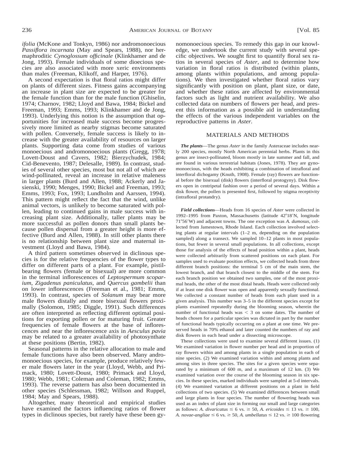*ifolia* (McKone and Tonkyn, 1986) nor andromonoecious *Passiflora incarnata* (May and Spears, 1988), nor hermaphroditic *Cynoglossum officinale* (Klinkhamer and de Jong, 1993). Female individuals of some dioecious species are also associated with more xeric environments than males (Freeman, Klikoff, and Harper, 1976).

A second expectation is that floral ratios might differ on plants of different sizes. Fitness gains accompanying an increase in plant size are expected to be greater for the female function than for the male function (Ghiselin, 1974; Charnov, 1982; Lloyd and Bawa, 1984; Bickel and Freeman, 1993; Emms, 1993; Klinkhamer and de Jong, 1993). Underlying this notion is the assumption that opportunities for increased male success become progressively more limited as nearby stigmas become saturated with pollen. Conversely, female success is likely to increase with the greater availability of resources on larger plants. Supporting data come from studies of various monoecious and andromonoecious plants (Gregg, 1978; Lovett-Doust and Cavers, 1982; Bierzychudek, 1984; Cid-Benevento, 1987; Delesalle, 1989). In contrast, studies of several other species, most but not all of which are wind-pollinated, reveal an increase in relative maleness in larger plants (Burd and Allen, 1988; Ackerly and Jasienski, 1990; Menges, 1990; Bickel and Freeman, 1993; Emms, 1993; Fox, 1993; Lundholm and Aarssen, 1994). This pattern might reflect the fact that the wind, unlike animal vectors, is unlikely to become saturated with pollen, leading to continued gains in male success with increasing plant size. Additionally, taller plants may be more successful as pollen donors than small plants because pollen dispersal from a greater height is more effective (Burd and Allen, 1988). In still other plants there is no relationship between plant size and maternal investment (Lloyd and Bawa, 1984).

A third pattern sometimes observed in diclinous species is for the relative frequencies of the flower types to differ on different parts of a plant. For example, pistilbearing flowers (female or bisexual) are more common in the terminal inflorescences of *Leptospermum scoparium, Zigadenus paniculatus,* and *Quercus gambelii* than on lower inflorescences (Freeman et al., 1981; Emms, 1993). In contrast, species of *Solanum* may bear more male flowers distally and more bisexual flowers proximally (Solomon, 1985; Diggle, 1991). Such differences are often interpreted as reflecting different optimal positions for exporting pollen or for maturing fruit. Greater frequencies of female flowers at the base of inflorescences and near the inflorescence axis in *Aesculus pavia* may be related to a greater availability of photosynthate at these positions (Bertin, 1982).

Seasonal patterns in the relative allocation to male and female functions have also been observed. Many andromonoecious species, for example, produce relatively fewer male flowers later in the year (Lloyd, Webb, and Primack, 1980; Lovett-Doust, 1980; Primack and Lloyd, 1980; Webb, 1981; Coleman and Coleman, 1982; Emms, 1993). The reverse pattern has also been documented in other species (Schlessman, 1982; Willson and Ruppel, 1984; May and Spears, 1988).

Altogether, many theoretical and empirical studies have examined the factors influencing ratios of flower types in diclinous species, but rarely have these been gynomonoecious species. To remedy this gap in our knowledge, we undertook the current study with several specific objectives. We sought first to quantify floral sex ratios in several species of *Aster,* and to determine how variation in floral ratios is distributed (within plants, among plants within populations, and among populations). We then investigated whether floral ratios vary significantly with position on plant, plant size, or date, and whether these ratios are affected by environmental factors such as light and nutrient availability. We also collected data on numbers of flowers per head, and present this information as a possible aid in understanding the effects of the various independent variables on the reproductive patterns in *Aster.*

#### MATERIALS AND METHODS

*The plants*—The genus *Aster* in the family Asteraceae includes nearly 200 species, mostly North American perennial herbs. Plants in this genus are insect-pollinated, bloom mostly in late summer and fall, and are found in various terrestrial habitats (Jones, 1978). They are gynomonoecious, with the heads exhibiting a combination of intrafloral and interfloral dichogamy (Knuth, 1908). Female (ray) flowers are functional before the bisexual (disk) flowers (interfloral protogyny). Disk flowers open in centripetal fashion over a period of several days. Within a disk flower, the pollen is presented first, followed by stigma receptivity (intrafloral protandry).

*Field collections*—Heads from 16 species of *Aster* were collected in 1992–1995 from Paxton, Massachusetts (latitude 42°18'N, longitude 718569W) and adjacent towns. The one exception was *A. dumosus,* collected from Jamestown, Rhode Island. Each collection involved selecting plants at regular intervals (1–2 m, depending on the population sampled) along a transect. We sampled 10–12 plants in most populations, but fewer in several small populations. In all collections, except those for analysis of the effects of head position within a plant, heads were collected arbitrarily from scattered positions on each plant. For samples used to evaluate position effects, we collected heads from three different branch positions: the terminal 5 cm of the main stem, the lowest branch, and that branch closest to the middle of the stem. For each branch position we obtained two samples, one of the most proximal heads, the other of the most distal heads. Heads were collected only if at least one disk flower was open and apparently sexually functional. We collected a constant number of heads from each plant used in a given analysis. This number was 3–5 in the different species except for plants examined repeatedly during the blooming season, wherein the number of functional heads was  $\leq$  3 on some dates. The number of heads chosen for a particular species was dictated in part by the number of functional heads typically occurring on a plant at one time. We preserved heads in 70% ethanol and later counted the numbers of ray and disk flowers in each head under a dissecting microscope.

These collections were used to examine several different issues. (1) We examined variation in flower number per head and in proportion of ray flowers within and among plants in a single population in each of nine species. (2) We examined variation within and among plants and among sites in three species. The sites for a given species were separated by a minimum of 600 m, and a maximum of 12 km. (3) We examined variation over the course of the blooming season in six species. In these species, marked individuals were sampled at 5-d intervals. (4) We examined variation at different positions on a plant in field collections of two species. (5) We examined differences between small and large plants in four species. The number of flowering heads was used as an index of plant size in forming our small and large categories as follows: *A. divaricatus*  $\leq 6$  vs.  $\geq 50$ , *A. ericoides*  $\leq 13$  vs.  $\geq 100$ , *A. novae-angliae*  $\leq 6$  vs.  $\geq 50$ , *A. umbellatus*  $\leq 12$  vs.  $\geq 100$  flowering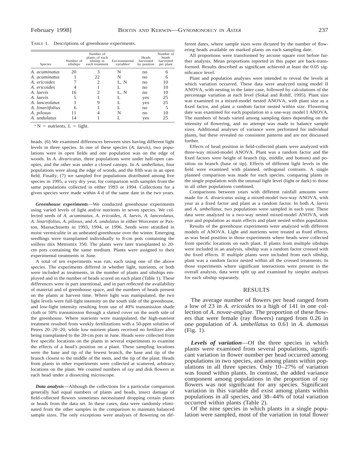TABLE 1. Descriptions of greenhouse experiments.

| <b>Species</b>      | Number of<br>sibships | Number of<br>plants of each<br>sibship in<br>each treatment | Environmental<br>variables <sup>a</sup> | Heads<br>harvested<br>by position | Number of<br>heads<br>harvested<br>per plant |
|---------------------|-----------------------|-------------------------------------------------------------|-----------------------------------------|-----------------------------------|----------------------------------------------|
| A. acuminatus       | 20                    |                                                             | N                                       | no                                | 6                                            |
| A. acuminatus       |                       | 22                                                          | N                                       | no                                | 6                                            |
| A. ericoides        |                       |                                                             | L, N                                    | no                                | 10                                           |
| A. ericoides        |                       |                                                             |                                         | no                                | 10                                           |
| A. laevis           | 16                    |                                                             | L, N                                    | no                                | 10                                           |
| A. laevis           | 5                     |                                                             |                                         | yes                               | 25                                           |
| A. lanceolatus      |                       |                                                             |                                         | yes                               | 25                                           |
| A. linariifolius    | 6                     |                                                             |                                         | no                                | 5                                            |
| A. pilosus          | 11                    |                                                             | N                                       | no                                | 10                                           |
| A. <i>undulatus</i> | 14                    |                                                             |                                         | yes                               | 25                                           |

 $N =$  nutrients, L = light.

heads. (6) We examined differences between sites having different light levels in three species. In one of these species (*A. laevis),* two populations were in open fields and one population was on the edge of woods. In *A. divaricatus,* three populations were under half-open canopies, and the other was under a closed canopy. In *A. umbellatus,* four populations were along the edge of woods, and the fifth was in an open field. Finally, (7) we sampled five populations distributed among five species in 1995, a very dry year, for comparison with samples from the same populations collected in either 1993 or 1994. Collections for a given species were made within 4 d of the same date in the two years.

*Greenhouse experiments*—We conducted greenhouse experiments using varied levels of light and/or nutrients in seven species. We collected seeds of *A. acuminatus, A. ericoides, A. laevis, A. lanceolatus, A. linariifolius, A. pilosus,* and *A. undulatus* in either Worcester or Paxton, Massachusetts in 1993, 1994, or 1996. Seeds were stratified in moist vermiculite in an unheated greenhouse over the winter. Emerging seedlings were transplanted individually to 8-cm pots containing the soilless mix Metromix 350. The plants were later transplanted to 20 cm pots containing the same medium. Plants were assigned to their experimental treatments in June.

A total of ten experiments was run, each using one of the above species. The experiments differed in whether light, nutrients, or both were included as treatments, in the number of plants and sibships employed and in the number of heads scored on each plant (Table 1). These differences were in part intentional, and in part reflected the availability of material and of greenhouse space, and the numbers of heads present on the plants at harvest time. Where light was manipulated, the two light levels were full-light intensity on the south side of the greenhouse, and low-light intensity resulting from use of 40% transmission shade cloth or 50% transmission through a slatted cover on the north side of the greenhouse. Where nutrients were manipulated, the high-nutrient treatment resulted from weekly fertilizations with a 50-ppm solution of Peters 20–20–20, while low nutrient plants received no fertilizer after being transplanted to the 20-cm pots in June. Heads were collected from five specific locations on the plants in several experiments to examine the effects of a head's position on a plant. These sampling locations were the base and tip of the lowest branch, the base and tip of the branch closest to the middle of the stem, and the tip of the plant. Heads from plants in other experiments were collected at scattered, arbitrary locations on the plant. We counted numbers of ray and disk flowers in each head under a dissecting microscope.

*Data analysis*—Although the collections for a particular comparison generally had equal numbers of plants and heads, insect damage of field-collected flowers sometimes necessitated dropping certain plants or heads from the data set. In these cases, data were randomly eliminated from the other samples in the comparison to maintain balanced sample sizes. The only exceptions were analyses of flowering on dif-

ferent dates, where sample sizes were dictated by the number of flowering heads available on marked plants on each sampling date.

All proportions were transformed by arcsine square root before further analysis. Mean proportions reported in this paper are back-transformed. Results described as significant achieved at least the 0.05 significance level.

Plant and population analyses were intended to reveal the levels at which variation occurred. These data were analyzed using model II ANOVA, with nesting in the latter case, followed by calculations of the percentage variation at each level (Sokal and Rohlf, 1995). Plant size was examined in a mixed-model nested ANOVA, with plant size as a fixed factor, and plant a random factor nested within size. Flowering date was examined for each population in a one-way model I ANOVA. The numbers of heads varied among sampling dates depending on the intensity of flowering, and no attempt was made to balance sample sizes. Additional analyses of variance were performed for individual plants, but these revealed no consistent patterns and are not discussed further.

Effects of head position in field-collected plants were analyzed with three-way mixed-model ANOVA. Plant was a random factor and the fixed factors were height of branch (tip, middle, and bottom) and position on branch (base or tip). Effects of different light levels in the field were examined with planned, orthogonal contrasts. A single planned comparison was made for each species, comparing plants in the single population with the unusual light level (light or dark) to those in all other populations combined.

Comparisons between years with different rainfall amounts were made for *A. divaricatus* using a mixed-model two-way ANOVA, with year as a fixed factor and plant as a random factor. In both *A. laevis* and *A. umbellatus,* two populations were sampled in each year. These data were analyzed in a two-way nested mixed-model ANOVA, with year and population as main effects and plant nested within population.

Results of the greenhouse experiments were analyzed with different models of ANOVA. Light and nutrients were treated as fixed effects, as was head position in those experiments where heads were collected from specific locations on each plant. If plants from multiple sibships were included in an analysis, sibship was a random factor crossed with the fixed effects. If multiple plants were included from each sibship, plant was a random factor nested within all the crossed treatments. In those experiments where significant interactions were present in the overall analysis, data were split up and examined by simpler analyses for each sibship separately.

#### RESULTS

The average number of flowers per head ranged from a low of 23 in *A. ericoides* to a high of 141 in one collection of *A. novae-angliae.* The proportion of these flowers that were female (ray flowers) ranged from 0.26 in one population of *A. umbellatus* to 0.61 in *A. dumosus* (Fig. 1).

*Levels of variation*—Of the three species in which plants were examined from several populations, significant variation in flower number per head occurred among populations in two species, and among plants within populations in all three species. Only  $10-27\%$  of variation was found within plants. In contrast, the added variance component among populations in the proportion of ray flowers was not significant for any species. Significant variation in this variable did exist among plants within populations in all species, and 38–44% of total variation occurred within plants (Table 2).

Of the nine species in which plants in a single population were sampled, most of the variation in total flower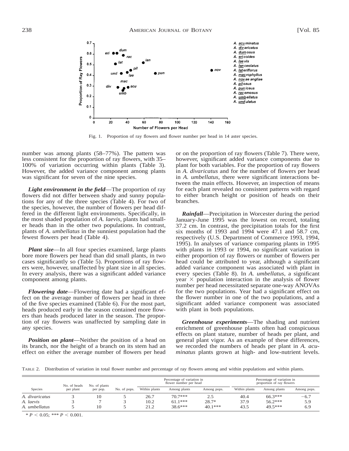

Fig. 1. Proportion of ray flowers and flower number per head in 14 aster species.

number was among plants (58–77%). The pattern was less consistent for the proportion of ray flowers, with 35– 100% of variation occurring within plants (Table 3). However, the added variance component among plants was significant for seven of the nine species.

*Light environment in the field*—The proportion of ray flowers did not differ between shady and sunny populations for any of the three species (Table 4). For two of the species, however, the number of flowers per head differed in the different light environments. Specifically, in the most shaded population of *A. laevis,* plants had smaller heads than in the other two populations. In contrast, plants of *A. umbellatus* in the sunniest population had the fewest flowers per head (Table 4).

*Plant size*—In all four species examined, large plants bore more flowers per head than did small plants, in two cases significantly so (Table 5). Proportions of ray flowers were, however, unaffected by plant size in all species. In every analysis, there was a significant added variance component among plants.

*Flowering date*—Flowering date had a significant effect on the average number of flowers per head in three of the five species examined (Table 6). For the most part, heads produced early in the season contained more flowers than heads produced later in the season. The proportion of ray flowers was unaffected by sampling date in any species.

*Position on plant*—Neither the position of a head on its branch, nor the height of a branch on its stem had an effect on either the average number of flowers per head or on the proportion of ray flowers (Table 7). There were, however, significant added variance components due to plant for both variables. For the proportion of ray flowers in *A. divaricatus* and for the number of flowers per head in *A. umbellatus,* there were significant interactions between the main effects. However, an inspection of means for each plant revealed no consistent patterns with regard to either branch height or position of heads on their branches.

*Rainfall*—Precipitation in Worcester during the period January-June 1995 was the lowest on record, totaling 37.2 cm. In contrast, the precipitation totals for the first six months of 1993 and 1994 were 47.1 and 58.7 cm, respectively (U.S. Department of Commerce 1993, 1994, 1995). In analyses of variance comparing plants in 1995 with plants in 1993 or 1994, no significant variation in either proportion of ray flowers or number of flowers per head could be attributed to year, although a significant added variance component was associated with plant in every species (Table 8). In *A. umbellatus,* a significant year  $\times$  population interaction in the analysis of flower number per head necessitated separate one-way ANOVAs for the two populations. Year had a significant effect on the flower number in one of the two populations, and a significant added variance component was associated with plant in both populations.

*Greenhouse experiments*—The shading and nutrient enrichment of greenhouse plants often had conspicuous effects on plant stature, number of heads per plant, and general plant vigor. As an example of these differences, we recorded the numbers of heads per plant in *A. acuminatus* plants grown at high- and low-nutrient levels.

TABLE 2. Distribution of variation in total flower number and percentage of ray flowers among and within populations and within plants.

| No. of heads<br>No. of plants |           |          |              | Percentage of variation in<br>flower number per head | Percentage of variation in<br>proportion of ray flowers |             |               |              |             |
|-------------------------------|-----------|----------|--------------|------------------------------------------------------|---------------------------------------------------------|-------------|---------------|--------------|-------------|
| Species                       | per plant | per pop. | No. of pops. | Within plants                                        | Among plants                                            | Among pops. | Within plants | Among plants | Among pops. |
| A. divaricatus                |           | 10       |              | 26.7                                                 | $70.7***$                                               | 2.5         | 40.4          | $66.3***$    | $-6.7$      |
| A. laevis                     |           |          |              | 10.2                                                 | $61.1***$                                               | $28.7*$     | 37.9          | $56.2***$    | 5.9         |
| A. umbellatus                 |           | 10       |              | 21.2                                                 | $38.6***$                                               | $40.1***$   | 43.5          | 49.5***      | 6.9         |

 $* P < 0.05$ ; \*\*\*  $P < 0.001$ .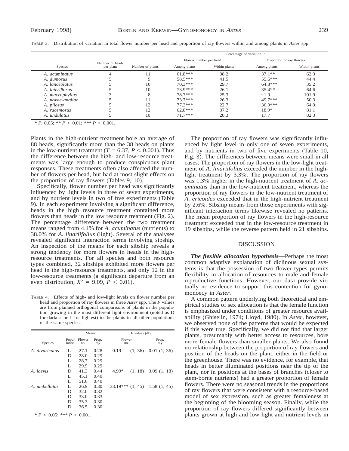|                      |                 |                  | Percentage of variation in |               |                           |               |  |  |
|----------------------|-----------------|------------------|----------------------------|---------------|---------------------------|---------------|--|--|
|                      | Number of heads |                  | Flower number per head     |               | Proportion of ray flowers |               |  |  |
| <b>Species</b>       | per plant       | Number of plants | Among plants               | Within plants | Among plants              | Within plants |  |  |
| A. <i>acuminatus</i> |                 |                  | $61.8***$                  | 38.2          | $37.1**$                  | 62.9          |  |  |
| A. dumosus           |                 |                  | 58.5***                    | 41.5          | $55.6***$                 | 44.4          |  |  |
| A. lanceolatus       |                 | 10               | $70.3***$                  | 29.7          | $64.8***$                 | 35.2          |  |  |
| A. lateriflorus      |                 | 10               | 73.9***                    | 26.1          | $35.4**$                  | 64.6          |  |  |
| A. macrophyllus      |                 |                  | 78.7***                    | 25.3          | $-1.9$                    | 101.9         |  |  |
| A. novae-angliae     |                 |                  | $73.7***$                  | 26.3          | 49.7***                   | 50.3          |  |  |
| A. pilosus           |                 | 12               | $77.3***$                  | 22.7          | $36.0***$                 | 64.0          |  |  |
| A. racemosus         |                 | 12               | $62.8***$                  | 37.2          | 18.9*                     | 81.1          |  |  |
| A. <i>undulatus</i>  |                 | 10               | $71.7***$                  | 28.3          | 17.7                      | 82.3          |  |  |

 $* P$ , 0.05;  $* P < 0.01$ ;  $* * P < 0.001$ .

Plants in the high-nutrient treatment bore an average of 88 heads, significantly more than the 38 heads on plants in the low-nutrient treatment ( $T = 6.37, P < 0.001$ ). Thus the difference between the high- and low-resource treatments was large enough to produce conspicuous plant responses. These treatments often also affected the number of flowers per head, but had at most slight effects on the proportion of ray flowers (Tables 9, 10).

Specifically, flower number per head was significantly influenced by light levels in three of seven experiments, and by nutrient levels in two of five experiments (Table 9). In each experiment involving a significant difference, heads in the high resource treatment contained more flowers than heads in the low resource treatment (Fig. 2). The percentage difference between the two treatment means ranged from 4.4% for *A. acuminatus* (nutrients) to 38.0% for *A. linariifolius* (light). Several of the analyses revealed significant interaction terms involving sibship. An inspection of the means for each sibship reveals a strong tendency for more flowers in heads in the highresource treatments. For all species and both resource types combined, 32 sibships exhibited more flowers per head in the high-resource treatments, and only 12 in the low-resource treatments (a significant departure from an even distribution,  $X^2 = 9.09$ ,  $P < 0.01$ ).

TABLE 4. Effects of high- and low-light levels on flower number per head and proportion of ray flowers in three *Aster* spp. The *F* values are from planned orthogonal comparisons of plants in the population growing in the most different light environment (noted as D for darkest or L for lightest) to the plants in all other populations of the same species.

|                |                 | Means         |              |               | $F$ values (df) |                                       |  |  |
|----------------|-----------------|---------------|--------------|---------------|-----------------|---------------------------------------|--|--|
| Species        | Popu-<br>lation | Flower<br>no. | Prop.<br>ray | Flower<br>no. |                 | Prop.<br>ray                          |  |  |
| A. divaricatus | L               | 27.1          | 0.28         | 0.19          | (1, 36)         | 0.01(1, 36)                           |  |  |
|                | D               | 28.0          | 0.29         |               |                 |                                       |  |  |
|                | L               | 28.7          | 0.29         |               |                 |                                       |  |  |
|                | L               | 29.9          | 0.29         |               |                 |                                       |  |  |
| A. laevis      | D               | 41.3          | 0.44         | 4.99*         | (1, 18)         | 3.09(1, 18)                           |  |  |
|                | L               | 45.1          | 0.40         |               |                 |                                       |  |  |
|                | L               | 51.6          | 0.40         |               |                 |                                       |  |  |
| A. umbellatus  | L               | 26.9          | 0.30         |               |                 | $33.19***$ $(1, 45)$ $1.58$ $(1, 45)$ |  |  |
|                | D               | 32.0          | 0.32         |               |                 |                                       |  |  |
|                | D               | 33.0          | 0.33         |               |                 |                                       |  |  |
|                | D               | 35.3          | 0.30         |               |                 |                                       |  |  |
|                | D               | 36.5          | 0.30         |               |                 |                                       |  |  |

 $* P < 0.05$ ; \*\*\*  $P < 0.001$ .

The proportion of ray flowers was significantly influenced by light level in only one of seven experiments, and by nutrients in two of five experiments (Table 10, Fig. 3). The differences between means were small in all cases. The proportion of ray flowers in the low-light treatment of *A. linariifolius* exceeded the number in the highlight treatment by 3.3%. The proportion of ray flowers was 1.3% higher in the high-nutrient treatment of *A. acuminatus* than in the low-nutrient treatment, whereas the proportion of ray flowers in the low-nutrient treatment of *A. ericoides* exceeded that in the high-nutrient treatment by 2.6%. Sibship means from those experiments with significant interaction terms likewise revealed no patterns. The mean proportion of ray flowers in the high-resource treatment exceeded that in the low-resource treatment in 19 sibships, while the reverse pattern held in 21 sibships.

#### DISCUSSION

*The flexible allocation hypothesis*—Perhaps the most common adaptive explanation of diclinous sexual systems is that the possession of two flower types permits flexibility in allocation of resources to male and female reproductive functions. However, our data provide virtually no evidence to support this contention for gynomonoecy in *Aster.*

A common pattern underlying both theoretical and empirical studies of sex allocation is that the female function is emphasized under conditions of greater resource availability (Ghiselin, 1974; Lloyd, 1980). In *Aster,* however, we observed none of the patterns that would be expected if this were true. Specifically, we did not find that larger plants, presumably with better access to resources, bore more female flowers than smaller plants. We also found no relationship between the proportion of ray flowers and position of the heads on the plant, either in the field or the greenhouse. There was no evidence, for example, that heads in better illuminated positions near the tip of the plant, nor in positions at the bases of branches (closer to stem-borne nutrients) had a greater proportion of female flowers. There were no seasonal trends in the proportions of ray flowers that were consistent with a resource-based model of sex expression, such as greater femaleness at the beginning of the blooming season. Finally, while the proportion of ray flowers differed significantly between plants grown at high and low light and nutrient levels in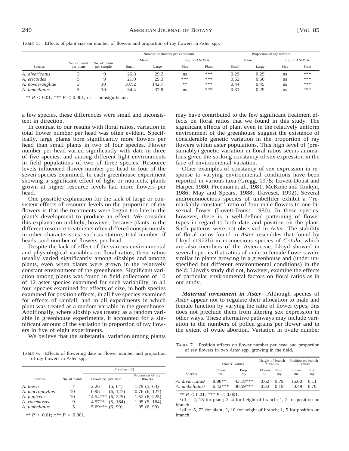|                  |              |               | Number of flowers per capitulum |       |      | Proportion of ray flowers |       |       |      |               |
|------------------|--------------|---------------|---------------------------------|-------|------|---------------------------|-------|-------|------|---------------|
|                  | No. of heads | No. of plants |                                 | Mean  |      | Sig. of ANOVA             |       | Mean  |      | Sig. of ANOVA |
| <b>Species</b>   | per plant    | per sample    | Small                           | Large | Size | Plant                     | Small | Large | Size | Plant         |
| A. divaricatus   |              |               | 26.8                            | 29.2  | ns   | ***                       | 0.29  | 0.29  | ns   | ***           |
| A. ericoides     |              |               | 21.0                            | 25.3  | ***  | ***                       | 0.62  | 0.60  | ns   | ***           |
| A. novae-angliae |              | 10            | 107.2                           | 142.7 | **   | ***                       | 0.44  | 0.45  | ns   | ***           |
| A. umbellatus    |              | 10            | 34.4                            | 37.8  | ns   | ***                       | 0.31  | 0.29  | ns   | ***           |

TABLE 5. Effects of plant size on number of flowers and proportion of ray flowers in *Aster* spp.

\*\*  $P < 0.01$ ; \*\*\*  $P < 0.001$ ; ns = nonsignificant.

a few species, these differences were small and inconsistent in direction.

In contrast to our results with floral ratios, variation in total flower number per head was often evident. Specifically, large plants bore significantly more flowers per head than small plants in two of four species. Flower number per head varied significantly with date in three of five species, and among different light environments in field populations of two of three species. Resource levels influenced flower number per head in four of the seven species examined. In each greenhouse experiment showing a significant effect of light or nutrients, plants grown at higher resource levels had more flowers per head.

One possible explanation for the lack of large or consistent effects of resource levels on the proportion of ray flowers is that the treatments were begun too late in the plant's development to produce an effect. We consider this explanation unlikely, however, because plants in the different resource treatments often differed conspicuously in other characteristics, such as stature, total number of heads, and number of flowers per head.

Despite the lack of effect of the various environmental and physiological variables on floral ratios, these ratios usually varied significantly among sibships and among plants, even when plants were grown in the relatively constant environment of the greenhouse. Significant variation among plants was found in field collections of 10 of 12 aster species examined for such variability, in all four species examined for effects of size, in both species examined for position effects, in all five species examined for effects of rainfall, and in all experiments in which plant was treated as a random variable in the greenhouse. Additionally, where sibship was treated as a random variable in greenhouse experiments, it accounted for a significant amount of the variation in proportion of ray flowers in five of eight experiments.

We believe that the substantial variation among plants

TABLE 6. Effects of flowering date on flower number and proportion of ray flowers in *Aster* spp.

|                 |               | $F$ values (df)     |          |                              |  |  |  |
|-----------------|---------------|---------------------|----------|------------------------------|--|--|--|
| <b>Species</b>  | No. of plants | Flower no. per head |          | Proportion of ray<br>flowers |  |  |  |
| A. laevis       |               | 2.26                | (5, 64)  | 1.79(5, 64)                  |  |  |  |
| A. macrophyllus | 10            | 0.98                | (6, 127) | 0.76(6, 127)                 |  |  |  |
| A. puniceus     | 10            | $14.54***$          | (6, 225) | 1.52(6, 225)                 |  |  |  |
| A. racemosus    | 9             | $4.57**$            | (5, 164) | 1.05(5, 164)                 |  |  |  |
| A. umbellatus   | 5             | $5.69***$ (6, 99)   |          | 1.05(6, 99)                  |  |  |  |

\*\*  $P < 0.01$ ; \*\*\*  $P < 0.001$ .

may have contributed to the few significant treatment effects on floral ratios that we found in this study. The significant effects of plant even in the relatively uniform environment of the greenhouse suggest the existence of considerable genetic variation in the proportion of ray flowers within aster populations. This high level of (presumably) genetic variation in floral ratios seems anomalous given the striking constancy of sex expression in the face of environmental variation.

Other examples of constancy of sex expression in response to varying environmental conditions have been reported in various taxa (Gregg, 1978; Lovett-Doust and Harper, 1980; Freeman et al., 1981; McKone and Tonkyn, 1986; May and Spears, 1988; Traveset, 1992). Several andromonoecious species of umbellifer exhibit a ''remarkably constant'' ratio of four male flowers to one bisexual flower (Lovett-Doust, 1980). In these species, however, there is a well-defined patterning of flower types in regard to both date and position on the plant. Such patterns were not observed in *Aster.* The stability of floral ratios found in *Aster* resembles that found by Lloyd (1972b) in monoecious species of *Cotula,* which are also members of the Asteraceae. Lloyd showed in several species that ratios of male to female flowers were similar in plants growing in a greenhouse and (under unspecified but different environmental conditions) in the field. Lloyd's study did not, however, examine the effects of particular environmental factors on floral ratios as in our study.

*Maternal investment in Aster*—Although species of *Aster* appear not to regulate their allocation to male and female function by varying the ratio of flower types, this does not preclude them from altering sex expression in other ways. These alternative pathways may include variation in the numbers of pollen grains per flower and in the extent of ovule abortion. Variation in ovule number

TABLE 7. Position effects on flower number per head and proportion of ray flowers in two *Aster* spp. growing in the field.

|                                   |           | Plant $F$ values | Height of branch<br>$F$ values |       | Position on branch<br>$F$ values |       |
|-----------------------------------|-----------|------------------|--------------------------------|-------|----------------------------------|-------|
| <b>Species</b>                    | Flower    | Prop.            | Flower                         | Prop. | Flower                           | Prop. |
|                                   | no.       | ray              | no.                            | ray   | no.                              | ray   |
| A. divaricatus <sup>a</sup>       | 8.98**    | 43.18***         | 0.62                           | 0.79  | 16.00                            | 0.11  |
| A. <i>umbellatus</i> <sup>b</sup> | $6.42***$ | $30.59***$       | 0.33                           | O 19  | 0.49                             | 0.78  |

\*\*  $P < 0.01$ ; \*\*\*  $P < 0.001$ .

 $a$  df = 2, 18 for plant; 2, 4 for height of branch; 1, 2 for position on branch.

 $\beta$  df = 5, 72 for plant; 2, 10 for height of branch; 1, 5 for position on branch.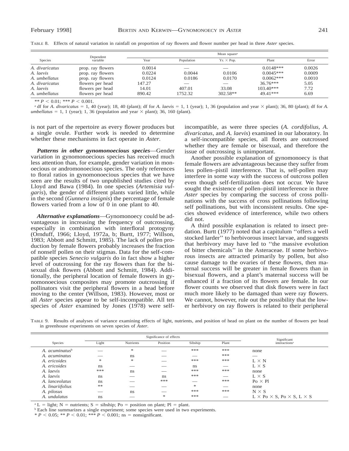|                | Dependent         |        | Mean square <sup>a</sup> |                   |             |        |  |  |  |  |  |
|----------------|-------------------|--------|--------------------------|-------------------|-------------|--------|--|--|--|--|--|
| Species        | variable          | Year   | Population               | $Yr. \times Pop.$ | Plant       | Error  |  |  |  |  |  |
| A. divaricatus | prop. ray flowers | 0.0014 | ___                      |                   | $0.0148***$ | 0.0026 |  |  |  |  |  |
| A. laevis      | prop. ray flowers | 0.0224 | 0.0044                   | 0.0106            | $0.0045***$ | 0.0009 |  |  |  |  |  |
| A. umbellatus  | prop. ray flowers | 0.0124 | 0.0186                   | 0.0170            | $0.0062***$ | 0.0010 |  |  |  |  |  |
| A. divaricatus | flowers per head  | 147.27 |                          |                   | $36.76***$  | 5.05   |  |  |  |  |  |
| A. laevis      | flowers per head  | 14.01  | 407.01                   | 33.08             | $103.40***$ | 7.72   |  |  |  |  |  |
| A. umbellatus  | flowers per head  | 890.42 | 1752.32                  | 302.58**          | 49.41***    | 6.69   |  |  |  |  |  |

TABLE 8. Effects of natural variation in rainfall on proportion of ray flowers and flower number per head in three *Aster* species.

\*\*  $P < 0.01$ ; \*\*\*  $P < 0.001$ .

<sup>a</sup> df for *A. divaricatus* = 1, 40 (year); 18, 40 (plant); df for *A. laevis* = 1, 1 (year); 1, 36 (population and year  $\times$  plant); 36, 80 (plant); df for *A. umbellatus* = 1, 1 (year); 1, 36 (population and year  $\times$  plant); 36, 160 (plant).

is not part of the repertoire as every flower produces but a single ovule. Further work is needed to determine whether these mechanisms in fact operate in *Aster.*

*Patterns in other gynomonoecious species*—Gender variation in gynomonoecious species has received much less attention than, for example, gender variation in monoecious or andromonoecious species. The only references to floral ratios in gynomonoecious species that we have seen are the results of two unpublished studies cited by Lloyd and Bawa (1984). In one species (*Artemisia vulgaris*), the gender of different plants varied little, while in the second (*Gunnera insignis*) the percentage of female flowers varied from a low of 0 in one plant to 40.

*Alternative explanations*—Gynomonoecy could be advantageous in increasing the frequency of outcrossing, especially in combination with interfloral protogyny (Ornduff, 1966; Lloyd, 1972a, b; Burtt, 1977; Willson, 1983; Abbott and Schmitt, 1985). The lack of pollen production by female flowers probably increases the fraction of nonself pollen on their stigmas. Data for the self-compatible species *Senecio vulgaris* do in fact show a higher level of outcrossing for the ray flowers than for the bisexual disk flowers (Abbott and Schmitt, 1984). Additionally, the peripheral location of female flowers in gynomonoecious composites may promote outcrossing if pollinators visit the peripheral flowers in a head before moving to the center (Willson, 1983). However, most or all *Aster* species appear to be self-incompatible. All ten species of *Aster* examined by Jones (1978) were self-

incompatible, as were three species (*A. cordifolius, A. divaricatus,* and *A. laevis*) examined in our laboratory. In a self-incompatible species, all florets are outcrossed whether they are female or bisexual, and therefore the issue of outcrossing is unimportant.

Another possible explanation of gynomonoecy is that female flowers are advantageous because they suffer from less pollen–pistil interference. That is, self-pollen may interfere in some way with the success of outcross pollen even though self-fertilization does not occur. We have sought the existence of pollen–pistil interference in three *Aster* species by comparing the success of cross pollinations with the success of cross pollinations following self pollinations, but with inconsistent results. One species showed evidence of interference, while two others did not.

A third possible explanation is related to insect predation. Burtt (1977) noted that a capitulum ''offers a well stocked larder'' to herbivorous insect larvae, and suggests that herbivory may have led to ''the massive evolution of bitter chemicals'' in the Asteraceae. If some herbivorous insects are attracted primarily by pollen, but also cause damage to the ovaries of these flowers, then maternal success will be greater in female flowers than in bisexual flowers, and a plant's maternal success will be enhanced if a fraction of its flowers are female. In our flower counts we observed that disk flowers were in fact much more likely to be damaged than were ray flowers. We cannot, however, rule out the possibility that the lower herbivory on ray flowers is related to their peripheral

TABLE 9. Results of analyses of variance examining effects of light, nutrients, and position of head on plant on the number of flowers per head in greenhouse experiments on seven species of *Aster.*

|                               |       | Significance of effects | Significant |               |       |                                                       |
|-------------------------------|-------|-------------------------|-------------|---------------|-------|-------------------------------------------------------|
| Species                       | Light | <b>Nutrients</b>        | Position    | Sibship       | Plant | interactions <sup>a</sup>                             |
| $A.$ acuminatus $\mathfrak b$ |       | *                       | ___         | ***           | ***   | none                                                  |
| A. acuminatus                 | ___   | ns                      |             | ___           | ***   |                                                       |
| A. ericoides                  | *     | *                       |             | ***           | ***   | $L \times N$                                          |
| A. ericoides                  | ns    | ___                     | __          | ns            |       | $L \times S$                                          |
| A. laevis                     | ***   | ns                      |             | ***           | ***   | none                                                  |
| A. laevis                     | ns    |                         | ns          | ***           |       | $L \times S$                                          |
| A. lanceolatus                | ns    |                         | ***         |               | ***   | $Po \times Pl$                                        |
| A. linariifolius              | **    |                         |             | $\frac{1}{2}$ |       | none                                                  |
| A. pilosus                    |       | ns                      |             | ***           | ***   | $N \times S$                                          |
| A. <i>undulatus</i>           | ns    |                         | *           | ***           |       | $L \times Po \times S$ , $Po \times S$ , $L \times S$ |

<sup>a</sup> L = light; N = nutrients; S = sibship; Po = position on plant; Pl = plant.

<sup>b</sup> Each line summarizes a single experiment; some species were used in two experiments.

 $* P < 0.05$ ; \*\*  $P < 0.01$ ; \*\*\*  $P < 0.001$ ; ns = nonsignificant.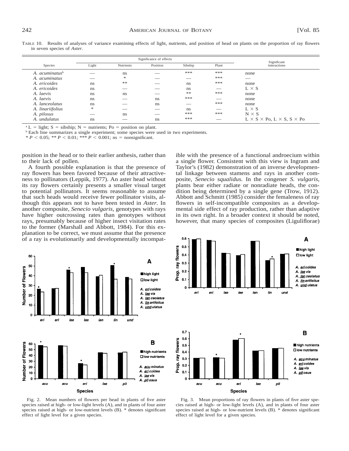|                     | Significant |                  |          |         |       |                                                       |
|---------------------|-------------|------------------|----------|---------|-------|-------------------------------------------------------|
| Species             | Light       | <b>Nutrients</b> | Position | Sibship | Plant | interactions                                          |
| A. $acuminatusb$    |             | ns               |          | ***     | ***   | none                                                  |
| A. acuminatus       |             | *                |          |         | ***   | ___                                                   |
| A. ericoides        | ns          | **               | ___      | ns      | ***   | none                                                  |
| A. ericoides        | ns          |                  |          | ns      |       | $L \times S$                                          |
| A. laevis           | ns          | ns               |          | **      | ***   | none                                                  |
| A. laevis           | ns          |                  | ns       | ***     |       | none                                                  |
| A. lanceolatus      | ns          |                  | ns       | __      | ***   | none                                                  |
| A. linariifolius    | *           |                  |          | ns      |       | $L \times S$                                          |
| A. pilosus          | ___         | ns               |          | ***     | ***   | $N \times S$                                          |
| A. <i>undulatus</i> | ns          |                  | ns       | ***     |       | $L \times S \times Po$ , $L \times S$ , $S \times Po$ |

TABLE 10. Results of analyses of variance examining effects of light, nutrients, and position of head on plants on the proportion of ray flowers in seven species of *Aster.*

<sup>a</sup> L = light; S = sibship; N = nutrients; Po = position on plant.

<sup>b</sup> Each line summarizes a single experiment; some species were used in two experiments.

\*  $P$  < 0.05; \*\*  $P$  < 0.01; \*\*\*  $P$  < 0.001; ns = nonsignificant.

position in the head or to their earlier anthesis, rather than to their lack of pollen.

A fourth possible explanation is that the presence of ray flowers has been favored because of their attractiveness to pollinators (Leppik, 1977). An aster head without its ray flowers certainly presents a smaller visual target to potential pollinators. It seems reasonable to assume that such heads would receive fewer pollinator visits, although this appears not to have been tested in *Aster.* In another composite, *Senecio vulgaris,* genotypes with rays have higher outcrossing rates than genotypes without rays, presumably because of higher insect visitation rates to the former (Marshall and Abbott, 1984). For this explanation to be correct, we must assume that the presence of a ray is evolutionarily and developmentally incompat-



Fig. 2. Mean numbers of flowers per head in plants of five aster species raised at high- or low-light levels (A), and in plants of four aster species raised at high- or low-nutrient levels (B). \* denotes significant effect of light level for a given species.

ible with the presence of a functional androecium within a single flower. Consistent with this view is Ingram and Taylor's (1982) demonstration of an inverse developmental linkage between stamens and rays in another composite, *Senecio squalidus.* In the congener *S. vulgaris,* plants bear either radiate or nonradiate heads, the condition being determined by a single gene (Trow, 1912). Abbott and Schmitt (1985) consider the femaleness of ray flowers in self-incompatible composites as a developmental side effect of ray production, rather than adaptive in its own right. In a broader context it should be noted, however, that many species of composites (Liguliflorae)



Fig. 3. Mean proportions of ray flowers in plants of five aster species raised at high- or low-light levels (A), and in plants of four aster species raised at high- or low-nutrient levels (B). \* denotes significant effect of light level for a given species.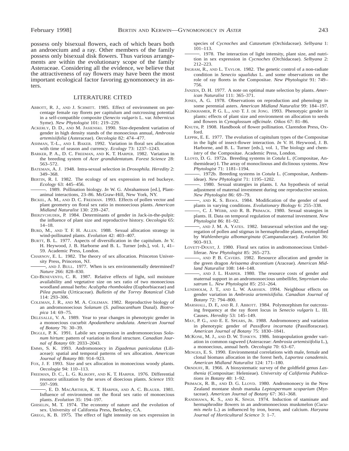possess only bisexual flowers, each of which bears both an androecium and a ray. Other members of the family possess only bisexual disk flowers. Thus various arrangements are within the evolutionary scope of the family Asteraceae. Considering all the evidence, we believe that the attractiveness of ray flowers may have been the most important ecological factor favoring gynomonoecy in asters.

#### LITERATURE CITED

- ABBOTT, R. J., AND J. SCHMITT. 1985. Effect of environment on percentage female ray florets per capitulum and outcrossing potential in a self-compatible composite (*Senecio vulgaris* L. var. *hibernicus* Syme). *New Phytologist* 101: 219–229.
- ACKERLY, D. D., AND M. JASIENSKI. 1990. Size-dependent variation of gender in high density stands of the monoecious annual, *Ambrosia artemisiifolia* (Asteraceae). *Oecologia* 82: 474–477.
- ASHMAN, T.-L., AND I. BAKER. 1992. Variation in floral sex allocation with time of season and currency. *Ecology* 73: 1237–1243.
- BARKER, P. A., D. C. FREEMAN, AND K. T. HARPER. 1982. Variation in the breeding system of *Acer grandidentatum. Forest Science* 28: 563–572.
- BATEMAN, A. J. 1948. Intra-sexual selection in *Drosophila. Heredity* 2: 349–368.
- BERTIN, R. I. 1982. The ecology of sex expression in red buckeye. *Ecology* 63: 445–456.
- . 1989. Pollination biology. *In* W. G. Abrahamson [ed.], Plantanimal interactions, 23–86. McGraw-Hill, New York, NY.
- BICKEL, A. M., AND D. C. FREEMAN. 1993. Effects of pollen vector and plant geometry on floral sex ratio in monoecious plants. *American Midland Naturalist* 130: 239–247.
- BIERZYCHUDEK, P. 1984. Determinants of gender in Jack-in-the-pulpit: the influence of plant size and reproductive history. *Oecologia* 65: 14–18.
- BURD, M., AND T. F. H. ALLEN. 1988. Sexual allocation strategy in wind-pollinated plants. *Evolution* 42: 403–407.
- BURTT, B. L. 1977. Aspects of diversification in the capitulum. *In* V. H. Heywood, J. B. Harborne and B. L. Turner [eds.], vol. 1, 41– 59. Academic Press, London.
- CHARNOV, E. L. 1982. The theory of sex allocation. Princeton University Press, Princeton, NJ.

-, AND J. BULL. 1977. When is sex environmentally determined? *Nature* 266: 828–830.

- CID-BENEVENTO, C. R. 1987. Relative effects of light, soil moisture availability and vegetative size on sex ratio of two monoecious woodland annual herbs: *Acalypha rhomboidea* (Euphorbiaceae) and *Pilea pumila* (Urticaceae). *Bulletin of the Torrey Botanical Club* 114: 293–306.
- COLEMAN, J. R., AND M. A. COLEMAN. 1982. Reproductive biology of an andromonoecious *Solanum* (*S. palinacanthum* Dunal). *Biotropica* 14: 69–75.
- DELESALLE, V. A. 1989. Year to year changes in phenotypic gender in a monoecious cucurbit *Apodanthera undulata. American Journal of Botany* 76: 30–39.
- DIGGLE, P. K. 1991. Labile sex expression in andromonoecious *Solanum hirtum*: pattern of variation in floral structure. *Canadian Journal of Botany* 69: 2033–2043.
- EMMS, S. K. 1993. Andromonoecy in *Zigadenus paniculatus* (Liliaceae): spatial and temporal patterns of sex allocation. *American Journal of Botany* 80: 914–923.
- FOX, J. F. 1993. Size and sex allocation in monoecious woody plants. *Oecologia* 94: 110–113.
- FREEMAN, D. C., L. G. KLIKOFF, AND K. T. HARPER. 1976. Differential resource utilization by the sexes of dioecious plants. *Science* 193: 597–599.
	- , E. D. MACARTHUR, K. T. HARPER, AND A. C. BLAUER. 1981. Influence of environment on the floral sex ratio of monoecious plants. *Evolution* 35: 194–197.
- GHISELIN, M. T. 1974. The economy of nature and the evolution of sex. University of California Press, Berkeley, CA.

GREGG, K. B. 1975. The effect of light intensity on sex expression in

species of *Cycnoches* and *Catasetum* (Orchidaceae). *Selbyana* 1: 101–113.

- . 1978. The interaction of light intensity, plant size, and nutrition in sex expression in *Cycnoches* (Orchidaceae). *Selbyana* 2: 212–223.
- INGRAM, R., AND L. TAYLOR. 1982. The genetic control of a non-radiate condition in *Senecio squalidus* L. and some observations on the role of ray florets in the Compositae. *New Phytologist* 91: 749– 756.
- JANZEN, D. H. 1977. A note on optimal mate selection by plants. *American Naturalist* 111: 365–371.
- JONES, A. G. 1978. Observations on reproduction and phenology in some perennial asters. *American Midland Naturalist* 99: 184–197.
- KLINKHAMER, P. G. L., AND T. J. DE JONG. 1993. Phenotypic gender in plants: effects of plant size and environment on allocation to seeds and flowers in *Cynoglossum officinale. Oikos* 67: 81–86.
- KNUTH, P. 1908. Handbook of flower pollination. Clarendon Press, Oxford.
- LEPPIK, E. E. 1977. The evolution of capitulum types of the Compositae in the light of insect-flower interaction. *In* V. H. Heywood, J. B. Harborne, and B. L. Turner [eds.], vol. 1, The biology and chemistry of the Compositae. Academic Press, London.
- LLOYD, D. G. 1972a. Breeding systems in *Cotula* L. (Compositae, Anthemideae) I. The array of monoclinous and diclinous systems. *New Phytologist* 71: 1181–1194.
- . 1972b. Breeding systems in *Cotula* L. (Compositae, Anthemideae). *New Phytologist* 71: 1195–1202.
- . 1980. Sexual strategies in plants. I. An hypothesis of serial adjustment of maternal investment during one reproductive session. *New Phytologist* 86: 69–79.
- , AND K. S. BAWA. 1984. Modification of the gender of seed plants in varying conditions. *Evolutionary Biology* 6: 255–338.
- , C. J. WEBB, AND R. B. PRIMACK. 1980. Sexual strategies in plants. II. Data on temporal regulation of maternal investment. *New Phytologist* 86: 81–92.
- , AND J. M. A. YATES. 1982. Intrasexual selection and the segregation of pollen and stigmas in hermaphrodite plants, exemplified by *Wahlenbergia albomarginata* (Campanulaceae). *Evolution* 36: 903–913.
- LOVETT-DOUST, J. 1980. Floral sex ratios in andromonoecious Umbelliferae. *New Phytologist* 85: 265–273.
- , AND P. B. CAVERS. 1982. Resource allocation and gender in the green dragon *Arisaema dracontium* (Araceae). *American Midland Naturalist* 108: 144–148.
- , AND J. L. HARPER. 1980. The resource costs of gender and maternal support in an andromonoecious umbellifer, *Smyrnium olusatrum* L. *New Phytologist* 85: 251–264.
- LUNDHOLM, J. T., AND L. W. AARSSEN. 1994. Neighbour effects on gender variation in *Ambrosia artemisiifolia. Canadian Journal of Botany* 72: 794–800.
- MARSHALL, D. F., AND R. J. ABBOTT. 1984. Polymorphism for outcrossing frequency at the ray floret locus in *Senecio vulgaris* L. III. Causes. *Heredity* 53: 145–149.
- MAY, P. G., AND E. E. SPEARS, JR. 1988. Andromonoecy and variation in phenotypic gender of *Passiflora incarnata* (Passifloraceae). *American Journal of Botany* 75: 1830–1841.
- MCKONE, M. J., AND D. W. TONKYN. 1986. Intrapopulation gender variation in common ragweed (Asteraceae: *Ambrosia artemisiifolia* L.), a monoecious, annual herb. *Oecologia* 70: 63–67.
- MENGES, E. S. 1990. Environmental correlations with male, female and clonal biomass allocation in the forest herb, *Laportea canadensis. American Midland Naturalist* 124: 171–180.
- ORNDUFF, R. 1966. A biosystematic survey of the goldfield genus *Lasthenia* (Compositae: Helenieae). *University of California Publications in Botany* 40: 1–92.
- PRIMACK, R. B., AND D. G. LLOYD. 1980. Andromonoecy in the New Zealand montane shrub manuka *Leptospermum scoparium* (Myrtaceae). *American Journal of Botany* 67: 361–368.
- RANDHAWA, K. S., AND K. SINGH. 1974. Induction of staminate and hermaphrodite flowers in an andromonoecious muskmelon (*Cucumis melo* L.) as influenced by iron, boron, and calcium. *Haryana Journal of Horticultural Science* 3: 1–7.